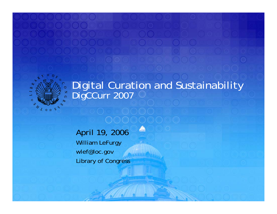

#### Digital Curation and Sustainability DigCCurr 2007

P)

April 19, 2006 William LeFurgy wlef@loc.gov Library of Congress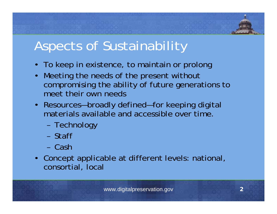# Aspects of Sustainability

- To keep in existence, to maintain or prolong
- Meeting the needs of the present without compromising the ability of future generations to meet their own needs
- Resources—broadly defined—for keeping digital materials available and accessible over time.
	- –Technology
	- Staff
	- Cash
- Concept applicable at different levels: national, consortial, local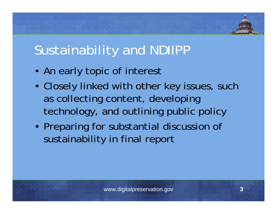## Sustainability and NDIIPP

- An early topic of interest
- • Closely linked with other key issues, such as collecting content, developing technology, and outlining public policy
- Preparing for substantial discussion of sustainability in final report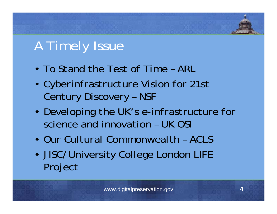# A Timely Issue

- *To Stand the Test of Time* ARL
- • *Cyberinfrastructure Vision for 21st Century Discovery* – NSF
- *Developing the UK's e-infrastructure for science and innovation* – UK OSI
- *Our Cultural Commonwealth* ACLS
- • JISC/University College London LIFE Project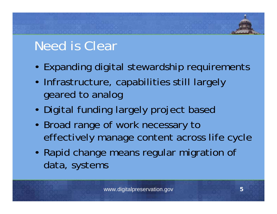# Need is Clear

- Expanding digital stewardship requirements
- Infrastructure, capabilities still largely geared to analog
- Digital funding largely project based
- Broad range of work necessary to effectively manage content across life cycle
- Rapid change means regular migration of data, systems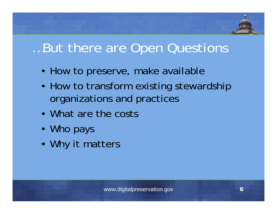

### …But there are Open Questions

- How to preserve, make available
- How to transform existing stewardship organizations and practices
- What are the costs
- Who pays
- Why it matters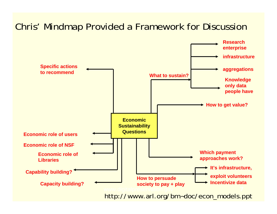#### Chris' Mindmap Provided a Framework for Discussion

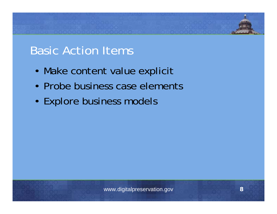#### Basic Action Items

- Make content value explicit
- Probe business case elements
- Explore business models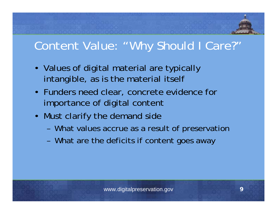

#### Content Value: "Why Should I Care?"

- Values of digital material are typically intangible, as is the material itself
- Funders need clear, concrete evidence for importance of digital content
- Must clarify the demand side
	- –What values accrue as a result of preservation
	- –What are the deficits if content goes away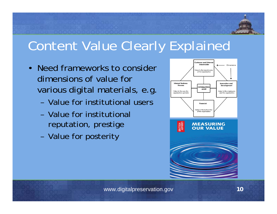

# Content Value Clearly Explained

- Need frameworks to consider dimensions of value for various digital materials, e.g.
	- Value for institutional users
	- Value for institutional reputation, prestige
	- –Value for posterity



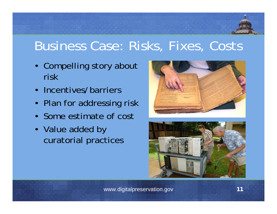### Business Case: Risks, Fixes, Costs

- Compelling story about risk
- Incentives/barriers
- Plan for addressing risk
- Some estimate of cost
- Value added by curatorial practices



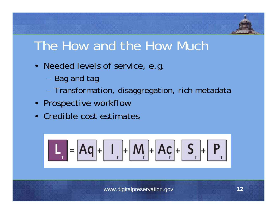

### The How and the How Much

- Needed levels of service, e.g.
	- –Bag and tag
	- –Transformation, disaggregation, rich metadata
- Prospective workflow
- Credible cost estimates

$$
\boxed{\mathbf{L}_r} = \boxed{\mathbf{Aq}} + \boxed{\mathbf{I}_r} + \boxed{\mathbf{M}_r} + \boxed{\mathbf{A}c}_r + \boxed{\mathbf{S}_r} + \boxed{\mathbf{P}_r}
$$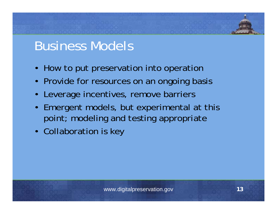### Business Models

- How to put preservation into operation
- Provide for resources on an ongoing basis
- Leverage incentives, remove barriers
- Emergent models, but experimental at this point; modeling and testing appropriate
- Collaboration is key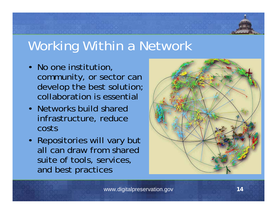

# Working Within a Network

- No one institution, community, or sector can develop the best solution; collaboration is essential
- Networks build shared infrastructure, reduce costs
- Repositories will vary but all can draw from shared suite of tools, services, and best practices

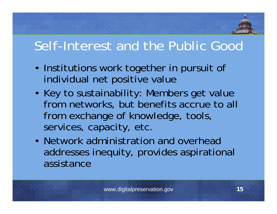# Self-Interest and the Public Good

- Institutions work together in pursuit of individual net positive value
- Key to sustainability: Members get value from networks, but benefits accrue to all from exchange of knowledge, tools, services, capacity, etc.
- Network administration and overhead addresses inequity, provides aspirational assistance